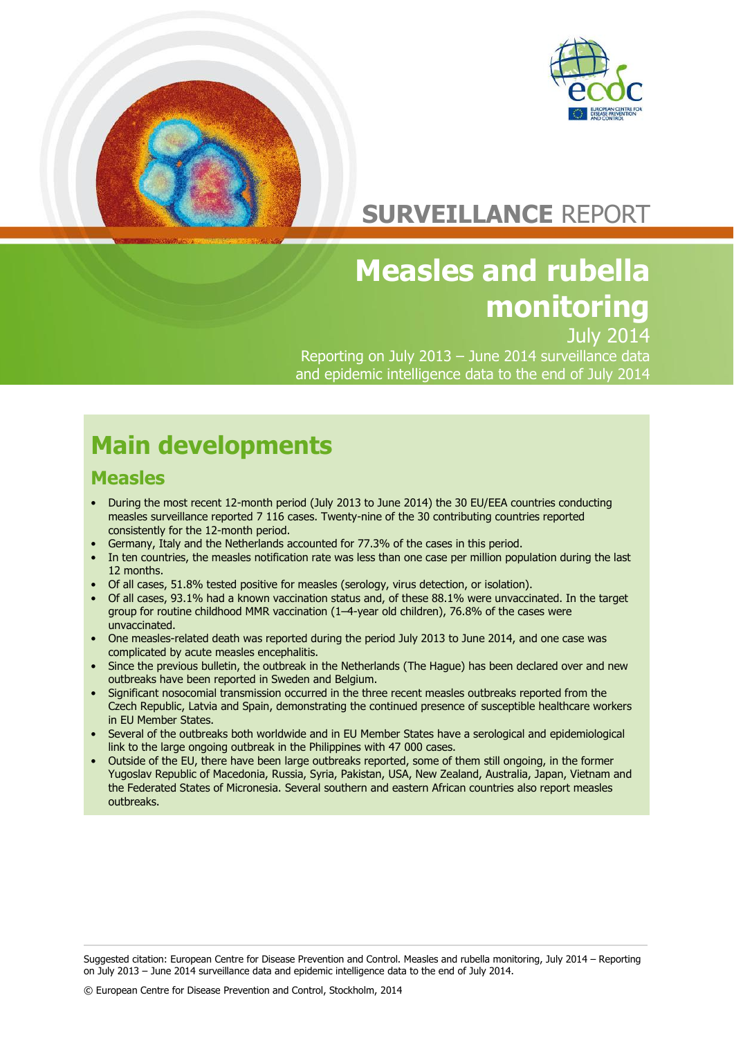

# **SURVEILLANCE** REPORT

# **Measles and rubella monitoring**

July 2014

Reporting on July 2013 – June 2014 surveillance data and epidemic intelligence data to the end of July 2014

# **Main developments**

### **Measles**

- During the most recent 12-month period (July 2013 to June 2014) the 30 EU/EEA countries conducting measles surveillance reported 7 116 cases. Twenty-nine of the 30 contributing countries reported consistently for the 12-month period.
- Germany, Italy and the Netherlands accounted for 77.3% of the cases in this period.
- In ten countries, the measles notification rate was less than one case per million population during the last 12 months.
- Of all cases, 51.8% tested positive for measles (serology, virus detection, or isolation).
- Of all cases, 93.1% had a known vaccination status and, of these 88.1% were unvaccinated. In the target group for routine childhood MMR vaccination (1–4-year old children), 76.8% of the cases were unvaccinated.
- One measles-related death was reported during the period July 2013 to June 2014, and one case was complicated by acute measles encephalitis.
- Since the previous bulletin, the outbreak in the Netherlands (The Hague) has been declared over and new outbreaks have been reported in Sweden and Belgium.
- Significant nosocomial transmission occurred in the three recent measles outbreaks reported from the Czech Republic, Latvia and Spain, demonstrating the continued presence of susceptible healthcare workers in EU Member States.
- Several of the outbreaks both worldwide and in EU Member States have a serological and epidemiological link to the large ongoing outbreak in the Philippines with 47 000 cases.
- Outside of the EU, there have been large outbreaks reported, some of them still ongoing, in the former Yugoslav Republic of Macedonia, Russia, Syria, Pakistan, USA, New Zealand, Australia, Japan, Vietnam and the Federated States of Micronesia. Several southern and eastern African countries also report measles outbreaks.

Suggested citation: European Centre for Disease Prevention and Control. Measles and rubella monitoring, July 2014 – Reporting on July 2013 – June 2014 surveillance data and epidemic intelligence data to the end of July 2014.

© European Centre for Disease Prevention and Control, Stockholm, 2014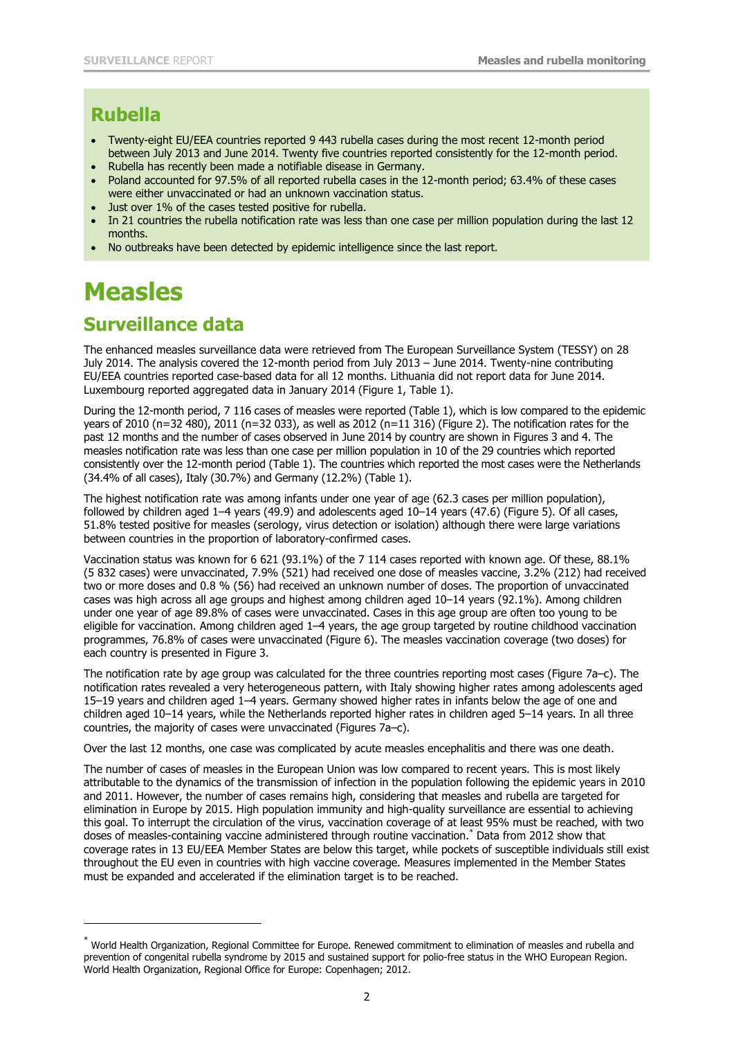### **Rubella**

- Twenty-eight EU/EEA countries reported 9 443 rubella cases during the most recent 12-month period between July 2013 and June 2014. Twenty five countries reported consistently for the 12-month period.
- Rubella has recently been made a notifiable disease in Germany.
- Poland accounted for 97.5% of all reported rubella cases in the 12-month period; 63.4% of these cases were either unvaccinated or had an unknown vaccination status.
- Just over 1% of the cases tested positive for rubella.
- In 21 countries the rubella notification rate was less than one case per million population during the last 12 months.
- No outbreaks have been detected by epidemic intelligence since the last report.

## **Measles**

j

### **Surveillance data**

The enhanced measles surveillance data were retrieved from The European Surveillance System (TESSY) on 28 July 2014. The analysis covered the 12-month period from July 2013 – June 2014. Twenty-nine contributing EU/EEA countries reported case-based data for all 12 months. Lithuania did not report data for June 2014. Luxembourg reported aggregated data in January 2014 (Figure 1, Table 1).

During the 12-month period, 7 116 cases of measles were reported (Table 1), which is low compared to the epidemic years of 2010 (n=32 480), 2011 (n=32 033), as well as 2012 (n=11 316) (Figure 2). The notification rates for the past 12 months and the number of cases observed in June 2014 by country are shown in Figures 3 and 4. The measles notification rate was less than one case per million population in 10 of the 29 countries which reported consistently over the 12-month period (Table 1). The countries which reported the most cases were the Netherlands (34.4% of all cases), Italy (30.7%) and Germany (12.2%) (Table 1).

The highest notification rate was among infants under one year of age (62.3 cases per million population), followed by children aged 1–4 years (49.9) and adolescents aged 10–14 years (47.6) (Figure 5). Of all cases, 51.8% tested positive for measles (serology, virus detection or isolation) although there were large variations between countries in the proportion of laboratory-confirmed cases.

Vaccination status was known for 6 621 (93.1%) of the 7 114 cases reported with known age. Of these, 88.1% (5 832 cases) were unvaccinated, 7.9% (521) had received one dose of measles vaccine, 3.2% (212) had received two or more doses and 0.8 % (56) had received an unknown number of doses. The proportion of unvaccinated cases was high across all age groups and highest among children aged 10–14 years (92.1%). Among children under one year of age 89.8% of cases were unvaccinated. Cases in this age group are often too young to be eligible for vaccination. Among children aged 1–4 years, the age group targeted by routine childhood vaccination programmes, 76.8% of cases were unvaccinated (Figure 6). The measles vaccination coverage (two doses) for each country is presented in Figure 3.

The notification rate by age group was calculated for the three countries reporting most cases (Figure 7a–c). The notification rates revealed a very heterogeneous pattern, with Italy showing higher rates among adolescents aged 15–19 years and children aged 1–4 years. Germany showed higher rates in infants below the age of one and children aged 10–14 years, while the Netherlands reported higher rates in children aged 5–14 years. In all three countries, the majority of cases were unvaccinated (Figures 7a–c).

Over the last 12 months, one case was complicated by acute measles encephalitis and there was one death.

The number of cases of measles in the European Union was low compared to recent years. This is most likely attributable to the dynamics of the transmission of infection in the population following the epidemic years in 2010 and 2011. However, the number of cases remains high, considering that measles and rubella are targeted for elimination in Europe by 2015. High population immunity and high-quality surveillance are essential to achieving this goal. To interrupt the circulation of the virus, vaccination coverage of at least 95% must be reached, with two doses of measles-containing vaccine administered through routine vaccination. \* Data from 2012 show that coverage rates in 13 EU/EEA Member States are below this target, while pockets of susceptible individuals still exist throughout the EU even in countries with high vaccine coverage. Measures implemented in the Member States must be expanded and accelerated if the elimination target is to be reached.

<sup>\*</sup> World Health Organization, Regional Committee for Europe. Renewed commitment to elimination of measles and rubella and prevention of congenital rubella syndrome by 2015 and sustained support for polio-free status in the WHO European Region. World Health Organization, Regional Office for Europe: Copenhagen; 2012.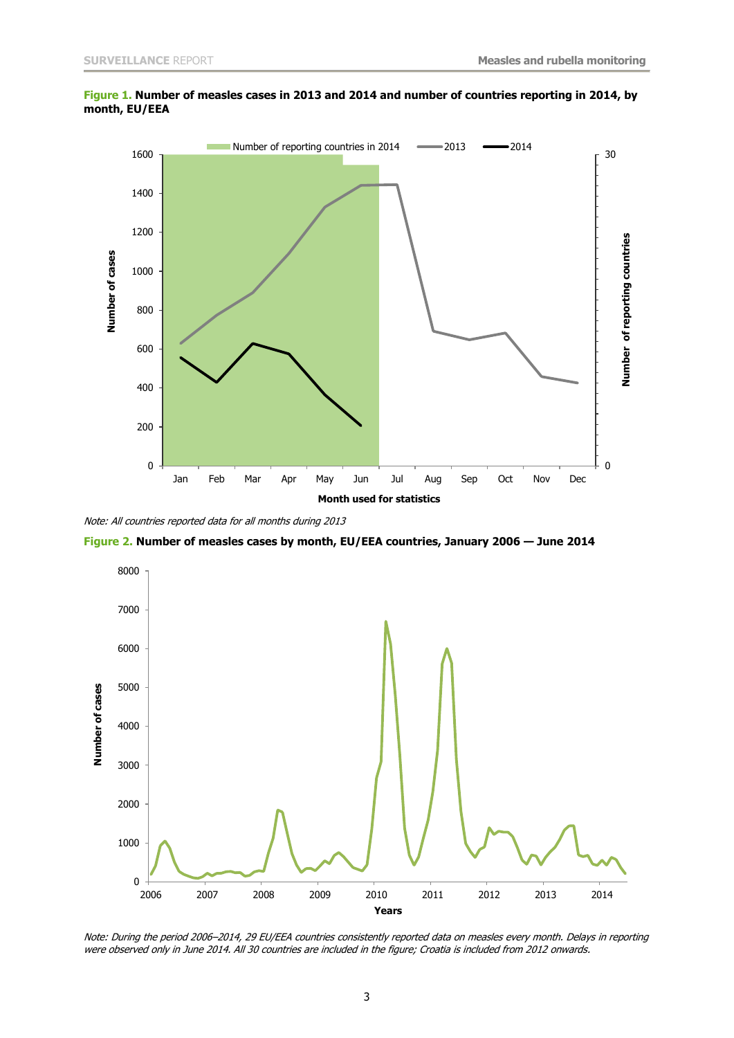

**Figure 1. Number of measles cases in 2013 and 2014 and number of countries reporting in 2014, by month, EU/EEA**

Note: All countries reported data for all months during 2013

**Figure 2. Number of measles cases by month, EU/EEA countries, January 2006 — June 2014**



Note: During the period 2006–2014, 29 EU/EEA countries consistently reported data on measles every month. Delays in reporting were observed only in June 2014. All 30 countries are included in the figure; Croatia is included from 2012 onwards.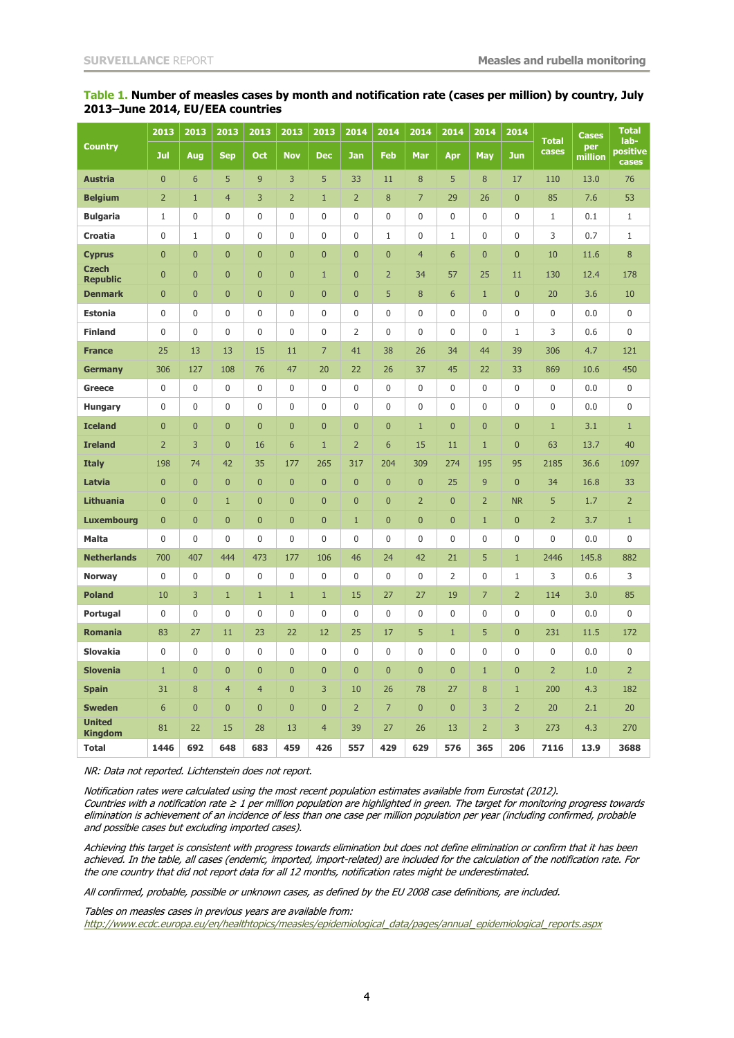| <b>Country</b>                  | 2013           | 2013           | 2013           | 2013           | 2013           | 2013           | 2014             | 2014             | 2014           | 2014           | 2014           | 2014             | <b>Total</b><br>cases | <b>Cases</b><br>per<br>million | <b>Total</b><br>lab- |
|---------------------------------|----------------|----------------|----------------|----------------|----------------|----------------|------------------|------------------|----------------|----------------|----------------|------------------|-----------------------|--------------------------------|----------------------|
|                                 | Jul            | Aug            | <b>Sep</b>     | <b>Oct</b>     | <b>Nov</b>     | <b>Dec</b>     | <b>Jan</b>       | <b>Feb</b>       | Mar            | Apr            | <b>May</b>     | <b>Jun</b>       |                       |                                | positive<br>cases    |
| <b>Austria</b>                  | $\pmb{0}$      | $\sqrt{6}$     | 5              | $\overline{9}$ | 3              | 5              | 33               | 11               | 8              | 5              | 8              | 17               | 110                   | 13.0                           | 76                   |
| <b>Belgium</b>                  | $\overline{2}$ | $\mathbf{1}$   | $\overline{4}$ | 3              | $\overline{2}$ | $\mathbf{1}$   | $\overline{2}$   | 8                | 7              | 29             | 26             | $\mathbf 0$      | 85                    | 7.6                            | 53                   |
| <b>Bulgaria</b>                 | 1              | $\pmb{0}$      | 0              | $\bf{0}$       | $\mathbf 0$    | $\bf{0}$       | $\boldsymbol{0}$ | $\boldsymbol{0}$ | $\mathbf 0$    | 0              | 0              | $\pmb{0}$        | 1                     | 0.1                            | $\mathbf{1}$         |
| Croatia                         | $\pmb{0}$      | $\mathbf{1}$   | 0              | $\pmb{0}$      | $\pmb{0}$      | 0              | $\boldsymbol{0}$ | $1\,$            | $\mathbf 0$    | $\mathbf 1$    | 0              | $\mathbf 0$      | 3                     | 0.7                            | $\mathbf{1}$         |
| <b>Cyprus</b>                   | $\bf{0}$       | $\overline{0}$ | $\mathbf 0$    | $\bf{0}$       | $\mathbf{0}$   | $\bf{0}$       | $\mathbf{0}$     | $\bf{0}$         | $\overline{4}$ | 6              | $\mathbf{0}$   | $\bf{0}$         | 10                    | 11.6                           | 8                    |
| <b>Czech</b><br><b>Republic</b> | $\overline{0}$ | $\mathbf{0}$   | $\overline{0}$ | $\overline{0}$ | $\overline{0}$ | $\mathbf{1}$   | $\mathbf{0}$     | $\overline{2}$   | 34             | 57             | 25             | 11               | 130                   | 12.4                           | 178                  |
| <b>Denmark</b>                  | $\mathbf{0}$   | $\mathbf 0$    | $\overline{0}$ | $\overline{0}$ | $\overline{0}$ | $\overline{0}$ | $\mathbf{0}$     | 5                | 8              | 6              | $\mathbf{1}$   | $\overline{0}$   | 20                    | 3.6                            | 10                   |
| <b>Estonia</b>                  | 0              | $\pmb{0}$      | 0              | $\mathbf{0}$   | $\mathbf{0}$   | $\mathbf 0$    | $\boldsymbol{0}$ | 0                | $\mathbf{0}$   | 0              | 0              | $\mathbf 0$      | 0                     | 0.0                            | 0                    |
| <b>Finland</b>                  | 0              | $\pmb{0}$      | 0              | 0              | $\mathbf 0$    | 0              | $\overline{2}$   | 0                | $\mathbf{0}$   | 0              | 0              | $\mathbf 1$      | 3                     | 0.6                            | 0                    |
| <b>France</b>                   | 25             | 13             | 13             | 15             | 11             | $\overline{7}$ | 41               | 38               | 26             | 34             | 44             | 39               | 306                   | 4.7                            | 121                  |
| <b>Germany</b>                  | 306            | 127            | 108            | 76             | 47             | 20             | 22               | 26               | 37             | 45             | 22             | 33               | 869                   | 10.6                           | 450                  |
| <b>Greece</b>                   | $\mathbf 0$    | $\pmb{0}$      | 0              | $\mathbf{0}$   | $\mathbf 0$    | 0              | $\mathbf{0}$     | $\mathbf 0$      | $\mathbf{0}$   | 0              | 0              | $\mathbf 0$      | 0                     | 0.0                            | 0                    |
| <b>Hungary</b>                  | $\mathbf 0$    | $\mathbf 0$    | 0              | $\mathbf 0$    | $\mathbf 0$    | 0              | $\boldsymbol{0}$ | 0                | $\mathbf{0}$   | 0              | 0              | $\mathbf 0$      | 0                     | 0.0                            | 0                    |
| <b>Iceland</b>                  | $\mathbf 0$    | $\mathbf 0$    | $\overline{0}$ | $\mathbf 0$    | $\overline{0}$ | $\mathbf{0}$   | $\mathbf{0}$     | $\mathbf{0}$     | $1\,$          | $\overline{0}$ | $\overline{0}$ | $\overline{0}$   | $\mathbf{1}$          | 3.1                            | $\mathbf{1}$         |
| <b>Ireland</b>                  | $\overline{2}$ | 3              | $\mathbf 0$    | 16             | 6              | $\mathbf{1}$   | $\overline{2}$   | 6                | 15             | 11             | $\mathbf{1}$   | $\mathbf{0}$     | 63                    | 13.7                           | 40                   |
| <b>Italy</b>                    | 198            | 74             | 42             | 35             | 177            | 265            | 317              | 204              | 309            | 274            | 195            | 95               | 2185                  | 36.6                           | 1097                 |
| Latvia                          | $\mathbf{0}$   | $\mathbf 0$    | $\mathbf 0$    | $\overline{0}$ | $\mathbf{0}$   | $\overline{0}$ | $\mathbf{0}$     | $\mathbf{0}$     | $\mathbf{0}$   | 25             | 9              | $\mathbf{0}$     | 34                    | 16.8                           | 33                   |
| <b>Lithuania</b>                | $\bf{0}$       | $\mathbf{0}$   | $\mathbf{1}$   | $\mathbf{0}$   | $\overline{0}$ | $\bf{0}$       | $\bf{0}$         | $\bf{0}$         | $\overline{2}$ | $\overline{0}$ | $\overline{2}$ | <b>NR</b>        | 5                     | 1.7                            | $\overline{2}$       |
| <b>Luxembourg</b>               | $\pmb{0}$      | $\mathbf 0$    | $\mathbf{0}$   | $\mathbf{0}$   | $\mathbf{0}$   | $\bf{0}$       | $\mathbf{1}$     | $\pmb{0}$        | $\mathbf{0}$   | $\mathbf{0}$   | $\mathbf{1}$   | $\mathbf 0$      | $\overline{2}$        | 3.7                            | $\mathbf{1}$         |
| <b>Malta</b>                    | $\pmb{0}$      | $\pmb{0}$      | 0              | $\mathbf 0$    | $\mathbf 0$    | 0              | $\boldsymbol{0}$ | 0                | $\mathbf 0$    | 0              | 0              | $\boldsymbol{0}$ | $\mathbf 0$           | 0.0                            | 0                    |
| <b>Netherlands</b>              | 700            | 407            | 444            | 473            | 177            | 106            | 46               | 24               | 42             | 21             | 5              | $\mathbf{1}$     | 2446                  | 145.8                          | 882                  |
| <b>Norway</b>                   | 0              | $\pmb{0}$      | 0              | 0              | $\mathbf 0$    | 0              | 0                | $\mathbf 0$      | 0              | 2              | 0              | $\mathbf{1}$     | 3                     | 0.6                            | 3                    |
| <b>Poland</b>                   | 10             | 3              | $1\,$          | $\mathbf{1}$   | $\mathbf{1}$   | $\mathbf{1}$   | 15               | 27               | 27             | 19             | $\overline{7}$ | $\overline{2}$   | 114                   | 3.0                            | 85                   |
| Portugal                        | 0              | $\pmb{0}$      | $\mathbf{0}$   | $\overline{0}$ | $\Omega$       | 0              | $\boldsymbol{0}$ | $\mathbf 0$      | 0              | 0              | 0              | $\mathbf{0}$     | $\Omega$              | 0.0                            | 0                    |
| <b>Romania</b>                  | 83             | 27             | 11             | 23             | 22             | 12             | 25               | 17               | 5              | $\mathbf{1}$   | 5              | $\mathbf 0$      | 231                   | 11.5                           | 172                  |
| <b>Slovakia</b>                 | 0              | $\pmb{0}$      | 0              | 0              | 0              | 0              | 0                | 0                | 0              | 0              | 0              | $\boldsymbol{0}$ | 0                     | 0.0                            | 0                    |
| <b>Slovenia</b>                 | $1\,$          | $\mathbf{0}$   | $\mathbf 0$    | $\mathbf{0}$   | $\mathbf{0}$   | $\mathbf{0}$   | $\mathbf{0}$     | $\mathbf 0$      | $\mathbf{0}$   | $\mathbf 0$    | $\mathbf{1}$   | $\mathbf{0}$     | $\overline{2}$        | 1.0                            | $\overline{2}$       |
| <b>Spain</b>                    | 31             | 8              | $\overline{4}$ | $\overline{4}$ | $\mathbf{0}$   | 3              | 10               | 26               | 78             | 27             | 8              | $\mathbf{1}$     | 200                   | 4.3                            | 182                  |
| <b>Sweden</b>                   | 6              | $\mathbf{0}$   | $\mathbf 0$    | $\mathbf{0}$   | $\mathbf{0}$   | $\overline{0}$ | $\overline{2}$   | $\overline{7}$   | $\mathbf{0}$   | $\mathbf{0}$   | 3              | $\overline{2}$   | 20                    | 2.1                            | 20                   |
| <b>United</b><br><b>Kingdom</b> | 81             | 22             | 15             | 28             | 13             | $\overline{4}$ | 39               | 27               | 26             | 13             | $\overline{2}$ | 3                | 273                   | 4.3                            | 270                  |
| <b>Total</b>                    | 1446           | 692            | 648            | 683            | 459            | 426            | 557              | 429              | 629            | 576            | 365            | 206              | 7116                  | 13.9                           | 3688                 |

#### **Table 1. Number of measles cases by month and notification rate (cases per million) by country, July 2013–June 2014, EU/EEA countries**

NR: Data not reported. Lichtenstein does not report.

Notification rates were calculated using the most recent population estimates available from Eurostat (2012). Countries with a notification rate ≥ 1 per million population are highlighted in green. The target for monitoring progress towards elimination is achievement of an incidence of less than one case per million population per year (including confirmed, probable and possible cases but excluding imported cases).

Achieving this target is consistent with progress towards elimination but does not define elimination or confirm that it has been achieved. In the table, all cases (endemic, imported, import-related) are included for the calculation of the notification rate. For the one country that did not report data for all 12 months, notification rates might be underestimated.

All confirmed, probable, possible or unknown cases, as defined by the EU 2008 case definitions, are included.

Tables on measles cases in previous years are available from:

[http://www.ecdc.europa.eu/en/healthtopics/measles/epidemiological\\_data/pages/annual\\_epidemiological\\_reports.aspx](http://www.ecdc.europa.eu/en/healthtopics/measles/epidemiological_data/pages/annual_epidemiological_reports.aspx)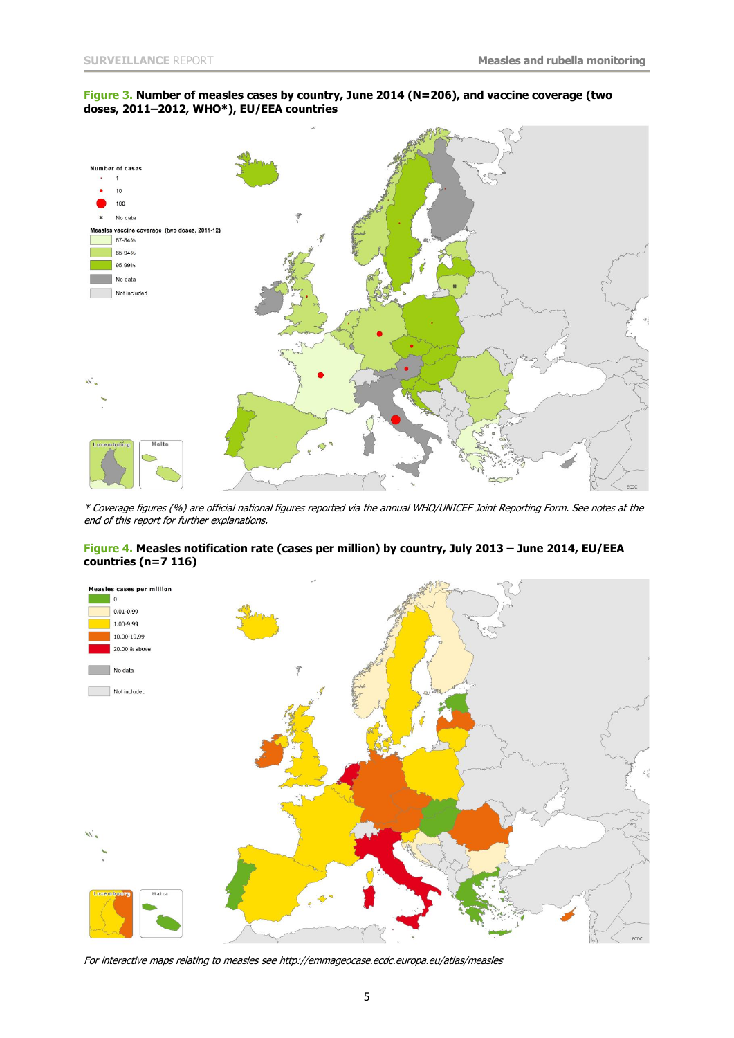#### **Figure 3. Number of measles cases by country, June 2014 (N=206), and vaccine coverage (two doses, 2011–2012, WHO\*), EU/EEA countries**



\* Coverage figures (%) are official national figures reported via the annual WHO/UNICEF Joint Reporting Form. See notes at the end of this report for further explanations.

#### **Figure 4. Measles notification rate (cases per million) by country, July 2013 – June 2014, EU/EEA countries (n=7 116)**



For interactive maps relating to measles se[e http://emmageocase.ecdc.europa.eu/atlas/measles](http://emmageocase.ecdc.europa.eu/atlas/measles)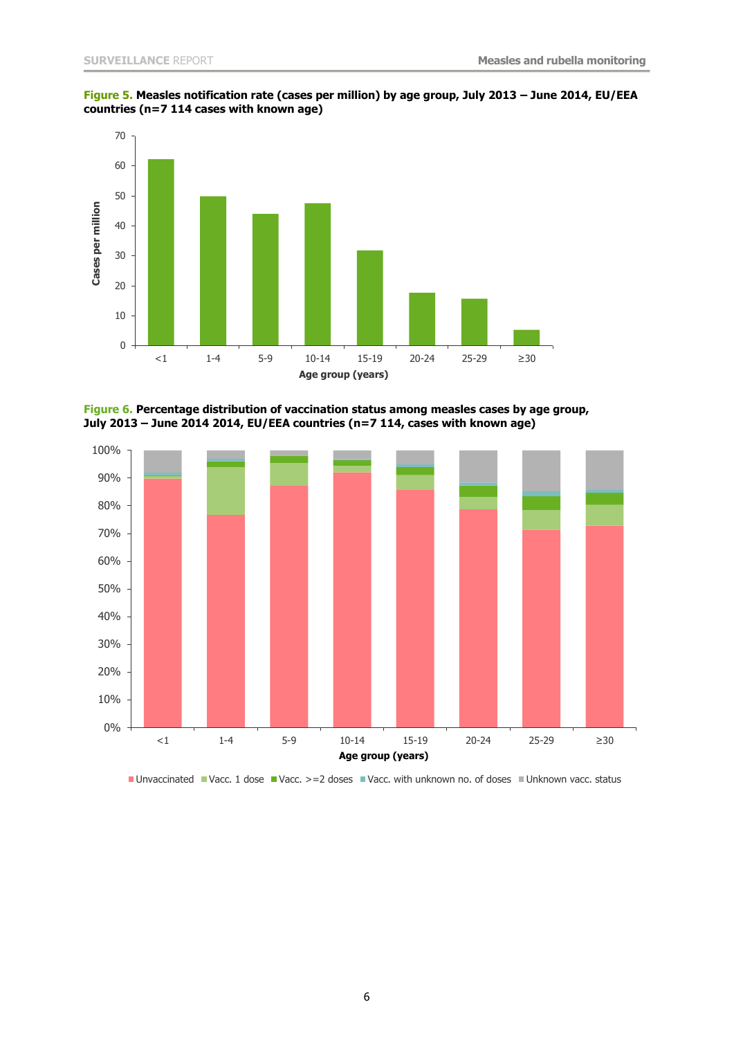



**Figure 6. Percentage distribution of vaccination status among measles cases by age group, July 2013 – June 2014 2014, EU/EEA countries (n=7 114, cases with known age)**



■ Unvaccinated ■ Vacc. 1 dose ■ Vacc. >=2 doses ■ Vacc. with unknown no. of doses ■ Unknown vacc. status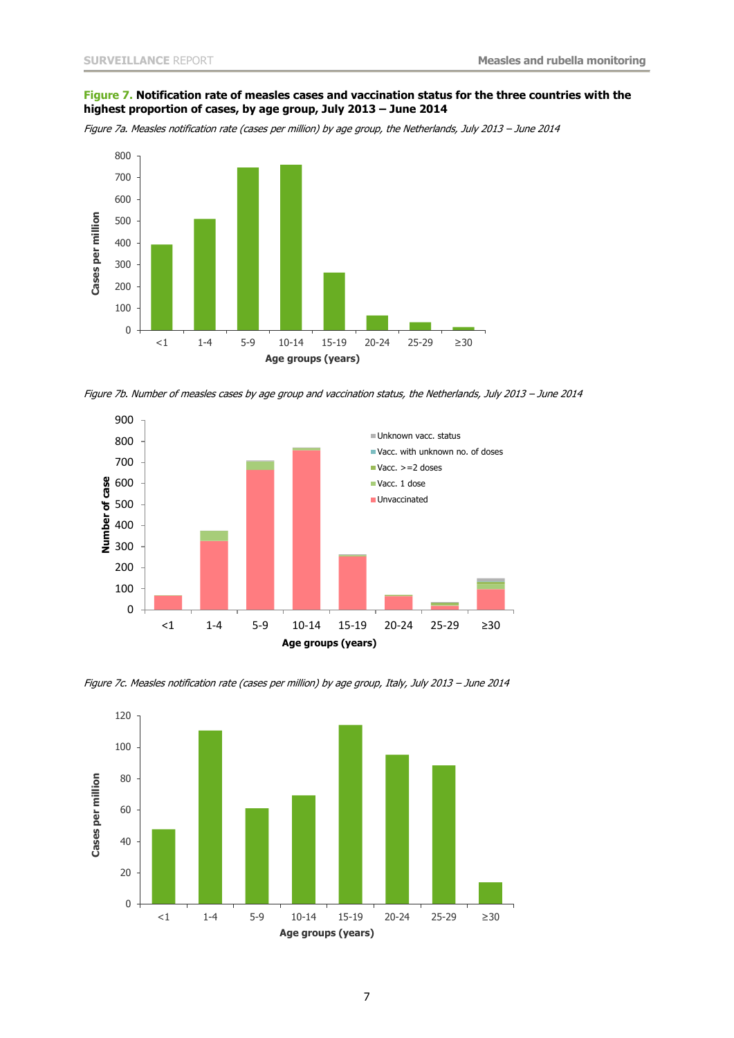#### **Figure 7. Notification rate of measles cases and vaccination status for the three countries with the highest proportion of cases, by age group, July 2013 – June 2014**

Figure 7a. Measles notification rate (cases per million) by age group, the Netherlands, July 2013 – June 2014



Figure 7b. Number of measles cases by age group and vaccination status, the Netherlands, July 2013 – June 2014



Figure 7c. Measles notification rate (cases per million) by age group, Italy, July 2013 – June 2014

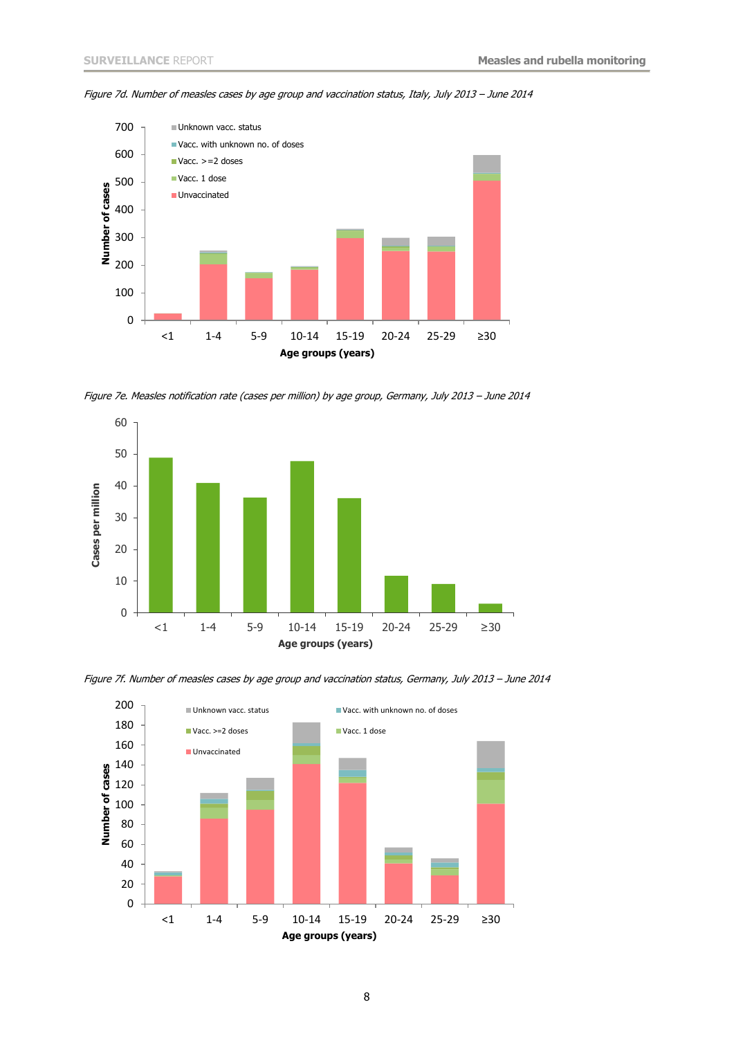

Figure 7d. Number of measles cases by age group and vaccination status, Italy, July 2013 – June 2014

Figure 7e. Measles notification rate (cases per million) by age group, Germany, July 2013 – June 2014



Figure 7f. Number of measles cases by age group and vaccination status, Germany, July 2013 – June 2014

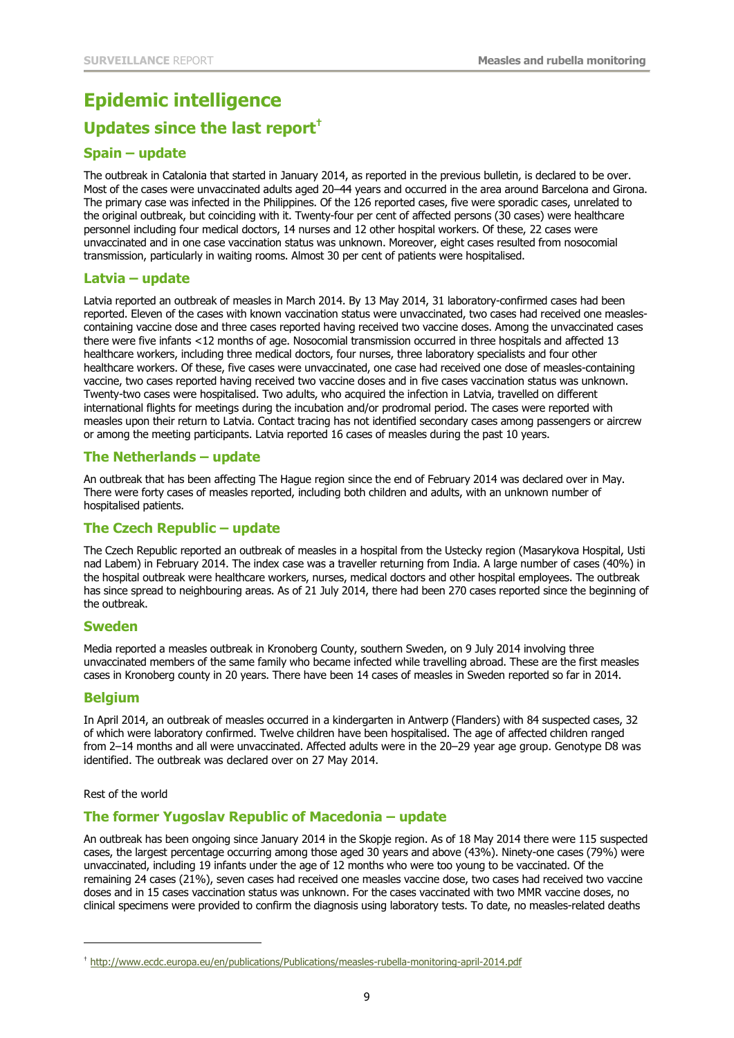# **Epidemic intelligence**

### **Updates since the last report†**

#### **Spain – update**

The outbreak in Catalonia that started in January 2014, as reported in the previous bulletin, is declared to be over. Most of the cases were unvaccinated adults aged 20–44 years and occurred in the area around Barcelona and Girona. The primary case was infected in the Philippines. Of the 126 reported cases, five were sporadic cases, unrelated to the original outbreak, but coinciding with it. Twenty-four per cent of affected persons (30 cases) were healthcare personnel including four medical doctors, 14 nurses and 12 other hospital workers. Of these, 22 cases were unvaccinated and in one case vaccination status was unknown. Moreover, eight cases resulted from nosocomial transmission, particularly in waiting rooms. Almost 30 per cent of patients were hospitalised.

#### **Latvia – update**

Latvia reported an outbreak of measles in March 2014. By 13 May 2014, 31 laboratory-confirmed cases had been reported. Eleven of the cases with known vaccination status were unvaccinated, two cases had received one measlescontaining vaccine dose and three cases reported having received two vaccine doses. Among the unvaccinated cases there were five infants <12 months of age. Nosocomial transmission occurred in three hospitals and affected 13 healthcare workers, including three medical doctors, four nurses, three laboratory specialists and four other healthcare workers. Of these, five cases were unvaccinated, one case had received one dose of measles-containing vaccine, two cases reported having received two vaccine doses and in five cases vaccination status was unknown. Twenty-two cases were hospitalised. Two adults, who acquired the infection in Latvia, travelled on different international flights for meetings during the incubation and/or prodromal period. The cases were reported with measles upon their return to Latvia. Contact tracing has not identified secondary cases among passengers or aircrew or among the meeting participants. Latvia reported 16 cases of measles during the past 10 years.

#### **The Netherlands – update**

An outbreak that has been affecting The Hague region since the end of February 2014 was declared over in May. There were forty cases of measles reported, including both children and adults, with an unknown number of hospitalised patients.

#### **The Czech Republic – update**

The Czech Republic reported an outbreak of measles in a hospital from the Ustecky region (Masarykova Hospital, Usti nad Labem) in February 2014. The index case was a traveller returning from India. A large number of cases (40%) in the hospital outbreak were healthcare workers, nurses, medical doctors and other hospital employees. The outbreak has since spread to neighbouring areas. As of 21 July 2014, there had been 270 cases reported since the beginning of the outbreak.

#### **Sweden**

[Media](http://www.svt.se/nyheter/regionalt/smalandsnytt/utbrott-av-massling) reported a measles outbreak in Kronoberg County, southern Sweden, on 9 July 2014 involving three unvaccinated members of the same family who became infected while travelling abroad. These are the first measles cases in Kronoberg county in 20 years. There have been 14 cases of measles in Sweden reported so far in 2014.

#### **Belgium**

In April 2014, an outbreak of measles occurred in a kindergarten in Antwerp (Flanders) with 84 suspected cases, 32 of which were laboratory confirmed. Twelve children have been hospitalised. The age of affected children ranged from 2–14 months and all were unvaccinated. Affected adults were in the 20–29 year age group. Genotype D8 was identified. The outbreak was declared over on 27 May 2014.

Rest of the world

j

#### **The former Yugoslav Republic of Macedonia – update**

An outbreak has been ongoing since January 2014 in the Skopje region. As of 18 May 2014 there were 115 suspected cases, the largest percentage occurring among those aged 30 years and above (43%). Ninety-one cases (79%) were unvaccinated, including 19 infants under the age of 12 months who were too young to be vaccinated. Of the remaining 24 cases (21%), seven cases had received one measles vaccine dose, two cases had received two vaccine doses and in 15 cases vaccination status was unknown. For the cases vaccinated with two MMR vaccine doses, no clinical specimens were provided to confirm the diagnosis using laboratory tests. To date, no measles-related deaths

<sup>†</sup> <http://www.ecdc.europa.eu/en/publications/Publications/measles-rubella-monitoring-april-2014.pdf>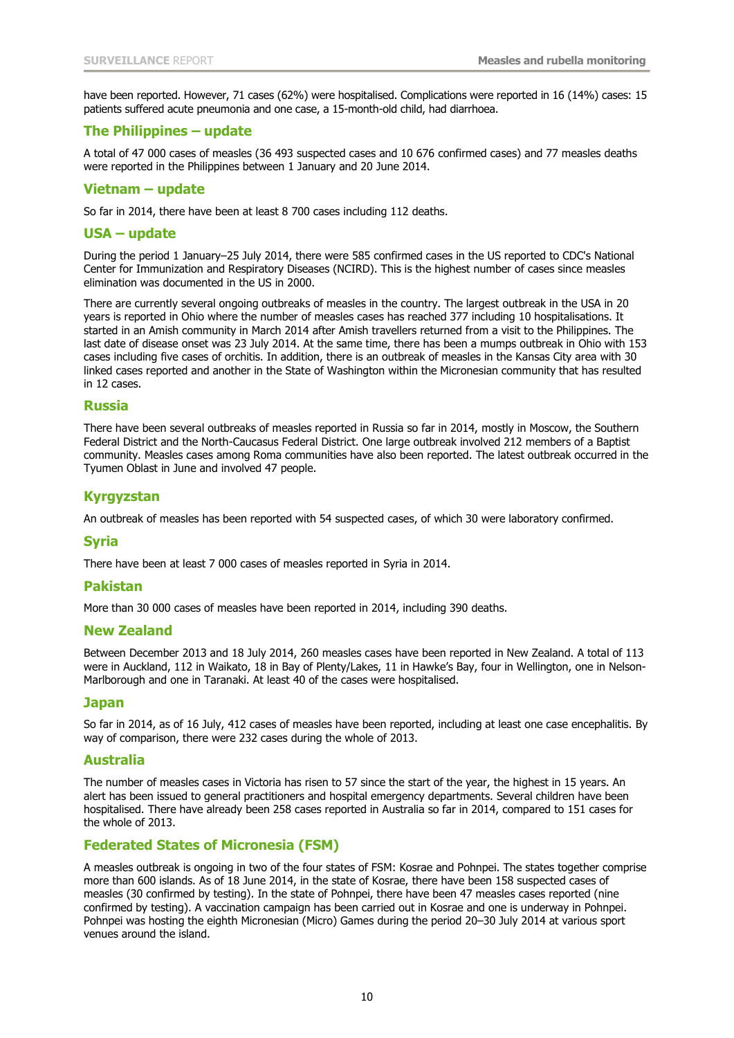have been reported. However, 71 cases (62%) were hospitalised. Complications were reported in 16 (14%) cases: 15 patients suffered acute pneumonia and one case, a 15-month-old child, had diarrhoea.

#### **The Philippines – update**

A total of 47 000 cases of measles (36 493 suspected cases and 10 676 confirmed cases) and 77 measles deaths were reported in the Philippines between 1 January and 20 June 2014.

#### **Vietnam – update**

So far in 2014, there have been at least 8 700 cases including 112 deaths.

#### **USA – update**

During the period 1 January–25 July 2014, there were 585 confirmed cases in the US reported to CDC's National Center for Immunization and Respiratory Diseases (NCIRD). This is the highest number of cases since measles elimination was documented in the US in 2000.

There are currently several ongoing outbreaks of measles in the country. The largest outbreak in the USA in 20 years is reported in Ohio where the number of measles cases has reached 377 including 10 hospitalisations. It started in an Amish community in March 2014 after Amish travellers returned from a visit to the Philippines. The last date of disease onset was 23 July 2014. At the same time, there has been a mumps outbreak in Ohio with 153 cases including five cases of orchitis. In addition, there is an outbreak of measles in the Kansas City area with 30 linked cases reported and another in the State of Washington within the Micronesian community that has resulted in 12 cases.

#### **Russia**

There have been several outbreaks of measles reported in Russia so far in 2014, mostly in Moscow, the Southern Federal District and the North-Caucasus Federal District. One large outbreak involved 212 members of a Baptist community. Measles cases among Roma communities have also been reported. The latest outbreak occurred in the Tyumen Oblast in June and involved 47 people.

#### **Kyrgyzstan**

An outbreak of measles has been reported with 54 suspected cases, of which 30 were laboratory confirmed.

#### **Syria**

There have been at least 7 000 cases of measles reported in Syria in 2014.

#### **Pakistan**

More than 30 000 cases of measles have been reported in 2014, including 390 deaths.

#### **New Zealand**

Between December 2013 and 18 July 2014, 260 measles cases have been reported in New Zealand. A total of 113 were in Auckland, 112 in Waikato, 18 in Bay of Plenty/Lakes, 11 in Hawke's Bay, four in Wellington, one in Nelson-Marlborough and one in Taranaki. At least 40 of the cases were hospitalised.

#### **Japan**

So far in 2014, as of 16 July, 412 cases of measles have been reported, including at least one case encephalitis. By way of comparison, there were 232 cases during the whole of 2013.

#### **Australia**

The number of measles cases in Victoria has risen to 57 since the start of the year, the highest in 15 years. An alert has been issued to general practitioners and hospital emergency departments. Several children have been hospitalised. There have already been 258 cases reported in Australia so far in 2014, compared to 151 cases for the whole of 2013.

#### **Federated States of Micronesia (FSM)**

A measles outbreak is ongoing in two of the four states of FSM: Kosrae and Pohnpei. The states together comprise more than 600 islands. As of 18 June 2014, in the state of Kosrae, there have been 158 suspected cases of measles (30 confirmed by testing). In the state of Pohnpei, there have been 47 measles cases reported (nine confirmed by testing). A vaccination campaign has been carried out in Kosrae and one is underway in Pohnpei. Pohnpei was hosting the eighth Micronesian (Micro) Games during the period 20–30 July 2014 at various sport venues around the island.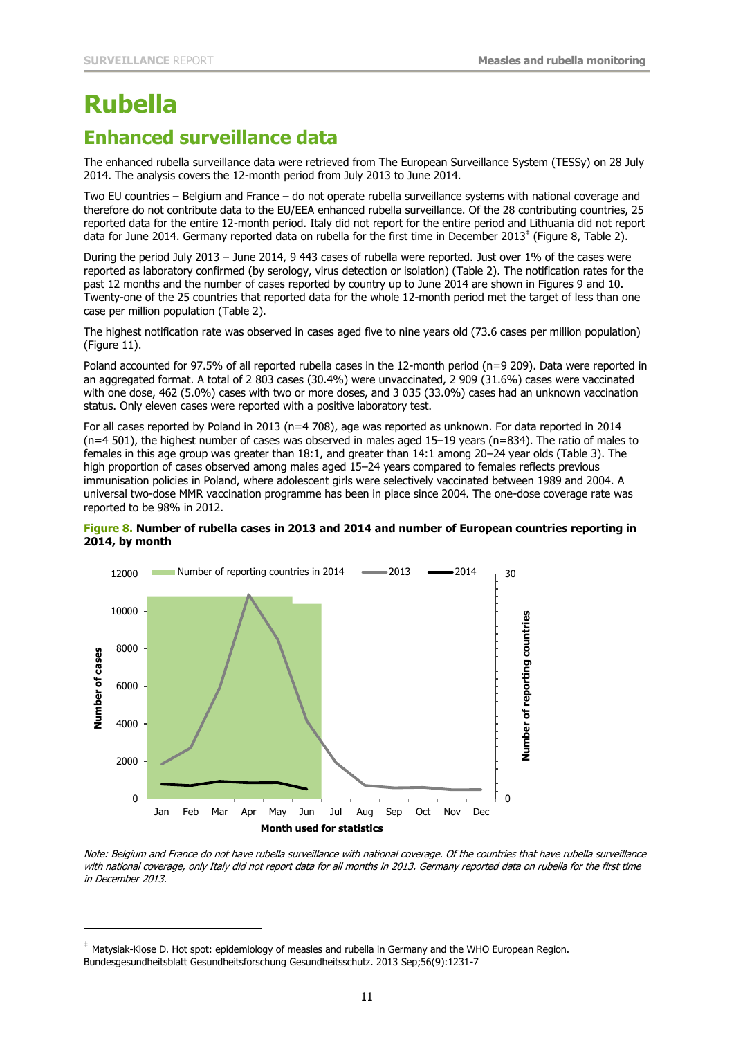## **Rubella**

j

## **Enhanced surveillance data**

The enhanced rubella surveillance data were retrieved from The European Surveillance System (TESSy) on 28 July 2014. The analysis covers the 12-month period from July 2013 to June 2014.

Two EU countries – Belgium and France – do not operate rubella surveillance systems with national coverage and therefore do not contribute data to the EU/EEA enhanced rubella surveillance. Of the 28 contributing countries, 25 reported data for the entire 12-month period. Italy did not report for the entire period and Lithuania did not report data for June 2014. Germany reported data on rubella for the first time in December 2013<sup>‡</sup> (Figure 8, Table 2).

During the period July 2013 – June 2014, 9 443 cases of rubella were reported. Just over 1% of the cases were reported as laboratory confirmed (by serology, virus detection or isolation) (Table 2). The notification rates for the past 12 months and the number of cases reported by country up to June 2014 are shown in Figures 9 and 10. Twenty-one of the 25 countries that reported data for the whole 12-month period met the target of less than one case per million population (Table 2).

The highest notification rate was observed in cases aged five to nine years old (73.6 cases per million population) (Figure 11).

Poland accounted for 97.5% of all reported rubella cases in the 12-month period (n=9 209). Data were reported in an aggregated format. A total of 2 803 cases (30.4%) were unvaccinated, 2 909 (31.6%) cases were vaccinated with one dose, 462 (5.0%) cases with two or more doses, and 3 035 (33.0%) cases had an unknown vaccination status. Only eleven cases were reported with a positive laboratory test.

For all cases reported by Poland in 2013 (n=4 708), age was reported as unknown. For data reported in 2014  $(n=4, 501)$ , the highest number of cases was observed in males aged 15–19 years (n=834). The ratio of males to females in this age group was greater than 18:1, and greater than 14:1 among 20–24 year olds (Table 3). The high proportion of cases observed among males aged 15–24 years compared to females reflects previous immunisation policies in Poland, where adolescent girls were selectively vaccinated between 1989 and 2004. A universal two-dose MMR vaccination programme has been in place since 2004. The one-dose coverage rate was reported to be 98% in 2012.





Note: Belgium and France do not have rubella surveillance with national coverage. Of the countries that have rubella surveillance with national coverage, only Italy did not report data for all months in 2013. Germany reported data on rubella for the first time in December 2013.

Matysiak-Klose D. Hot spot: epidemiology of measles and rubella in Germany and the WHO European Region. Bundesgesundheitsblatt Gesundheitsforschung Gesundheitsschutz. 2013 Sep;56(9):1231-7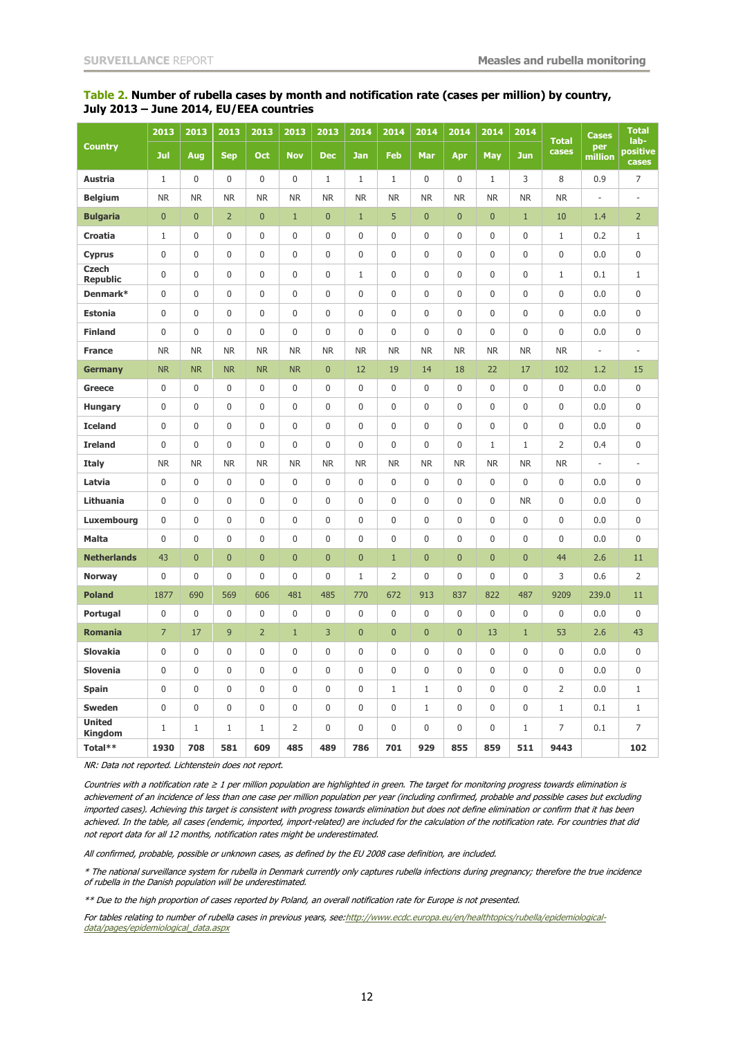#### **Table 2. Number of rubella cases by month and notification rate (cases per million) by country, July 2013 – June 2014, EU/EEA countries**

|                                 | 2013             | 2013             | 2013             | 2013             | 2013             | 2013         | 2014             | 2014           | 2014             | 2014           | 2014           | 2014             | <b>Total</b><br>cases | <b>Cases</b><br>per<br>million | <b>Total</b><br>lab-<br>positive<br>cases |
|---------------------------------|------------------|------------------|------------------|------------------|------------------|--------------|------------------|----------------|------------------|----------------|----------------|------------------|-----------------------|--------------------------------|-------------------------------------------|
| <b>Country</b>                  | Jul              | Aug              | <b>Sep</b>       | <b>Oct</b>       | <b>Nov</b>       | <b>Dec</b>   | <b>Jan</b>       | <b>Feb</b>     | Mar              | Apr            | <b>May</b>     | <b>Jun</b>       |                       |                                |                                           |
| <b>Austria</b>                  | $\mathbf{1}$     | $\boldsymbol{0}$ | $\boldsymbol{0}$ | $\boldsymbol{0}$ | 0                | $\mathbf{1}$ | $\mathbf{1}$     | $\mathbf{1}$   | 0                | 0              | $\mathbf{1}$   | 3                | 8                     | 0.9                            | 7                                         |
| <b>Belgium</b>                  | <b>NR</b>        | <b>NR</b>        | <b>NR</b>        | <b>NR</b>        | <b>NR</b>        | <b>NR</b>    | <b>NR</b>        | <b>NR</b>      | <b>NR</b>        | <b>NR</b>      | <b>NR</b>      | <b>NR</b>        | <b>NR</b>             | $\overline{\phantom{a}}$       | ÷,                                        |
| <b>Bulgaria</b>                 | $\overline{0}$   | $\pmb{0}$        | $\overline{2}$   | $\overline{0}$   | $\mathbf{1}$     | $\pmb{0}$    | $\mathbf{1}$     | 5              | $\overline{0}$   | $\overline{0}$ | $\mathbf{0}$   | $\mathbf{1}$     | 10                    | 1.4                            | $\overline{2}$                            |
| Croatia                         | $\mathbf{1}$     | $\pmb{0}$        | $\mathbf 0$      | $\mathbf 0$      | $\boldsymbol{0}$ | 0            | $\pmb{0}$        | 0              | 0                | 0              | $\mathbf 0$    | $\mathbf{0}$     | $\mathbf 1$           | 0.2                            | $\mathbf 1$                               |
| <b>Cyprus</b>                   | $\mathbf 0$      | $\pmb{0}$        | $\pmb{0}$        | $\mathbf 0$      | $\pmb{0}$        | 0            | 0                | 0              | 0                | 0              | $\mathbf 0$    | $\mathbf 0$      | 0                     | 0.0                            | 0                                         |
| <b>Czech</b><br><b>Republic</b> | $\mathbf 0$      | $\mathbf 0$      | $\mathbf 0$      | $\mathbf 0$      | $\mathbf 0$      | 0            | $\mathbf{1}$     | 0              | $\pmb{0}$        | 0              | $\mathbf 0$    | $\mathbf{0}$     | $\mathbf 1$           | 0.1                            | $\mathbf 1$                               |
| Denmark*                        | $\mathbf 0$      | $\mathbf 0$      | $\mathbf 0$      | $\mathbf 0$      | 0                | 0            | $\pmb{0}$        | 0              | 0                | 0              | $\mathbf 0$    | $\mathbf{0}$     | $\pmb{0}$             | 0.0                            | 0                                         |
| <b>Estonia</b>                  | $\pmb{0}$        | $\pmb{0}$        | $\pmb{0}$        | $\boldsymbol{0}$ | $\pmb{0}$        | 0            | $\pmb{0}$        | 0              | 0                | 0              | $\pmb{0}$      | $\boldsymbol{0}$ | 0                     | 0.0                            | 0                                         |
| <b>Finland</b>                  | 0                | $\pmb{0}$        | $\pmb{0}$        | $\pmb{0}$        | $\pmb{0}$        | 0            | 0                | 0              | $\mathbf 0$      | 0              | $\mathbf 0$    | $\mathbf{0}$     | $\pmb{0}$             | 0.0                            | 0                                         |
| <b>France</b>                   | <b>NR</b>        | <b>NR</b>        | <b>NR</b>        | <b>NR</b>        | <b>NR</b>        | <b>NR</b>    | <b>NR</b>        | <b>NR</b>      | <b>NR</b>        | <b>NR</b>      | <b>NR</b>      | <b>NR</b>        | <b>NR</b>             | $\overline{\phantom{a}}$       | $\frac{1}{2}$                             |
| <b>Germany</b>                  | <b>NR</b>        | <b>NR</b>        | <b>NR</b>        | <b>NR</b>        | <b>NR</b>        | $\pmb{0}$    | 12               | 19             | 14               | 18             | 22             | 17               | 102                   | 1.2                            | 15                                        |
| <b>Greece</b>                   | 0                | $\mathbf 0$      | 0                | $\mathbf 0$      | 0                | 0            | 0                | 0              | 0                | 0              | $\mathbf 0$    | $\mathbf{0}$     | 0                     | 0.0                            | 0                                         |
| <b>Hungary</b>                  | $\mathbf 0$      | $\mathbf 0$      | $\mathbf 0$      | $\mathbf 0$      | $\mathbf 0$      | 0            | 0                | 0              | 0                | 0              | $\mathbf 0$    | $\mathbf 0$      | 0                     | 0.0                            | 0                                         |
| <b>Iceland</b>                  | $\mathbf 0$      | $\mathbf 0$      | $\mathbf 0$      | $\mathbf 0$      | $\mathbf 0$      | 0            | $\mathbf 0$      | 0              | $\mathbf 0$      | 0              | $\mathbf 0$    | $\mathbf{0}$     | $\boldsymbol{0}$      | 0.0                            | 0                                         |
| <b>Ireland</b>                  | $\mathbf 0$      | $\mathbf 0$      | $\mathbf 0$      | $\mathbf 0$      | $\mathbf 0$      | 0            | $\pmb{0}$        | 0              | $\pmb{0}$        | 0              | $\mathbf{1}$   | 1                | 2                     | 0.4                            | 0                                         |
| <b>Italy</b>                    | <b>NR</b>        | <b>NR</b>        | <b>NR</b>        | <b>NR</b>        | <b>NR</b>        | <b>NR</b>    | <b>NR</b>        | <b>NR</b>      | <b>NR</b>        | <b>NR</b>      | <b>NR</b>      | <b>NR</b>        | <b>NR</b>             | ÷,                             | ÷,                                        |
| Latvia                          | $\mathbf 0$      | $\mathbf 0$      | $\mathbf 0$      | $\mathbf 0$      | $\mathbf 0$      | 0            | $\mathbf 0$      | $\overline{0}$ | $\mathbf 0$      | $\mathbf 0$    | $\mathbf 0$    | $\mathbf{0}$     | $\mathbf 0$           | 0.0                            | 0                                         |
| Lithuania                       | 0                | $\boldsymbol{0}$ | $\bf{0}$         | $\boldsymbol{0}$ | 0                | 0            | 0                | 0              | 0                | 0              | 0              | <b>NR</b>        | 0                     | 0.0                            | 0                                         |
| Luxembourg                      | $\pmb{0}$        | $\pmb{0}$        | $\boldsymbol{0}$ | $\boldsymbol{0}$ | $\boldsymbol{0}$ | 0            | $\pmb{0}$        | 0              | $\boldsymbol{0}$ | 0              | $\mathbf 0$    | $\boldsymbol{0}$ | $\pmb{0}$             | 0.0                            | 0                                         |
| <b>Malta</b>                    | $\mathbf 0$      | $\mathbf 0$      | $\mathbf 0$      | $\mathbf 0$      | $\mathbf 0$      | 0            | $\mathbf 0$      | 0              | $\mathbf 0$      | 0              | $\mathbf 0$    | $\mathbf 0$      | $\overline{0}$        | 0.0                            | 0                                         |
| <b>Netherlands</b>              | 43               | $\mathbf 0$      | $\mathbf{0}$     | $\mathbf 0$      | $\mathbf{0}$     | $\mathbf 0$  | $\mathbf 0$      | $\mathbf 1$    | $\overline{0}$   | $\overline{0}$ | $\mathbf{0}$   | $\mathbf 0$      | 44                    | 2.6                            | 11                                        |
| <b>Norway</b>                   | 0                | $\mathbf 0$      | $\mathbf{0}$     | 0                | $\mathbf 0$      | 0            | $\mathbf 1$      | 2              | 0                | 0              | $\mathbf 0$    | $\mathbf{0}$     | 3                     | 0.6                            | 2                                         |
| <b>Poland</b>                   | 1877             | 690              | 569              | 606              | 481              | 485          | 770              | 672            | 913              | 837            | 822            | 487              | 9209                  | 239.0                          | 11                                        |
| Portugal                        | $\boldsymbol{0}$ | $\mathbf 0$      | $\mathbf 0$      | $\mathbf 0$      | $\mathbf 0$      | 0            | $\boldsymbol{0}$ | $\overline{0}$ | $\mathbf 0$      | $\mathbf 0$    | $\overline{0}$ | $\mathbf 0$      | $\mathbf 0$           | 0.0                            | 0                                         |
| <b>Romania</b>                  | $\overline{7}$   | 17               | 9                | $\overline{2}$   | $\mathbf{1}$     | 3            | $\mathbf 0$      | $\mathbf 0$    | $\mathbf{0}$     | $\overline{0}$ | 13             | $\mathbf{1}$     | 53                    | 2.6                            | 43                                        |
| <b>Slovakia</b>                 | $\pmb{0}$        | $\pmb{0}$        | $\pmb{0}$        | $\mathbf 0$      | $\boldsymbol{0}$ | 0            | $\pmb{0}$        | 0              | 0                | 0              | $\mathbf 0$    | $\mathbf{0}$     | $\pmb{0}$             | 0.0                            | 0                                         |
| <b>Slovenia</b>                 | $\mathbf 0$      | $\mathbf 0$      | $\mathbf 0$      | $\mathbf 0$      | $\mathbf 0$      | 0            | $\boldsymbol{0}$ | 0              | 0                | 0              | $\mathbf 0$    | $\mathbf 0$      | 0                     | 0.0                            | 0                                         |
| <b>Spain</b>                    | 0                | $\pmb{0}$        | $\boldsymbol{0}$ | $\boldsymbol{0}$ | $\boldsymbol{0}$ | 0            | 0                | $\mathbf 1$    | $\mathbf{1}$     | 0              | $\pmb{0}$      | $\boldsymbol{0}$ | $\overline{2}$        | 0.0                            | $\mathbf 1$                               |
| <b>Sweden</b>                   | $\mathbf 0$      | $\mathbf 0$      | $\mathbf 0$      | $\mathbf 0$      | $\mathbf 0$      | $\mathbf 0$  | $\mathbf 0$      | $\overline{0}$ | $\mathbf{1}$     | $\mathbf 0$    | $\overline{0}$ | $\overline{0}$   | $\mathbf{1}$          | 0.1                            | $\mathbf{1}$                              |
| <b>United</b><br><b>Kingdom</b> | $\mathbf{1}$     | $\mathbf{1}$     | $\mathbf{1}$     | $\mathbf{1}$     | 2                | 0            | 0                | 0              | 0                | 0              | 0              | $\mathbf{1}$     | 7                     | 0.1                            | 7                                         |
| Total**                         | 1930             | 708              | 581              | 609              | 485              | 489          | 786              | 701            | 929              | 855            | 859            | 511              | 9443                  |                                | 102                                       |

NR: Data not reported. Lichtenstein does not report.

Countries with a notification rate ≥ 1 per million population are highlighted in green. The target for monitoring progress towards elimination is achievement of an incidence of less than one case per million population per year (including confirmed, probable and possible cases but excluding imported cases). Achieving this target is consistent with progress towards elimination but does not define elimination or confirm that it has been achieved. In the table, all cases (endemic, imported, import-related) are included for the calculation of the notification rate. For countries that did not report data for all 12 months, notification rates might be underestimated.

All confirmed, probable, possible or unknown cases, as defined by the EU 2008 case definition, are included.

\* The national surveillance system for rubella in Denmark currently only captures rubella infections during pregnancy; therefore the true incidence of rubella in the Danish population will be underestimated.

\*\* Due to the high proportion of cases reported by Poland, an overall notification rate for Europe is not presented.

For tables relating to number of rubella cases in previous years, see:http://www.ecdc.europa.eu/en/healthtopics/rubella/epidemiologicaldata/pages/epidemiological\_data.aspx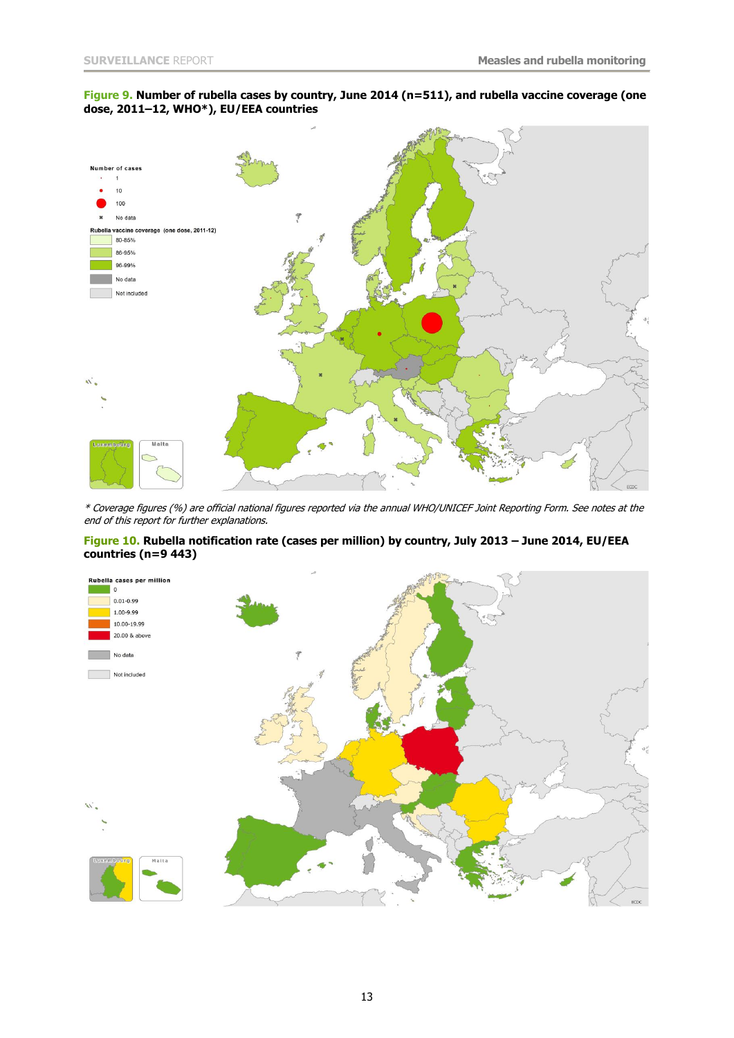#### **Figure 9. Number of rubella cases by country, June 2014 (n=511), and rubella vaccine coverage (one dose, 2011–12, WHO\*), EU/EEA countries**



\* Coverage figures (%) are official national figures reported via the annual WHO/UNICEF Joint Reporting Form. See notes at the end of this report for further explanations.

#### **Figure 10. Rubella notification rate (cases per million) by country, July 2013 – June 2014, EU/EEA countries (n=9 443)**

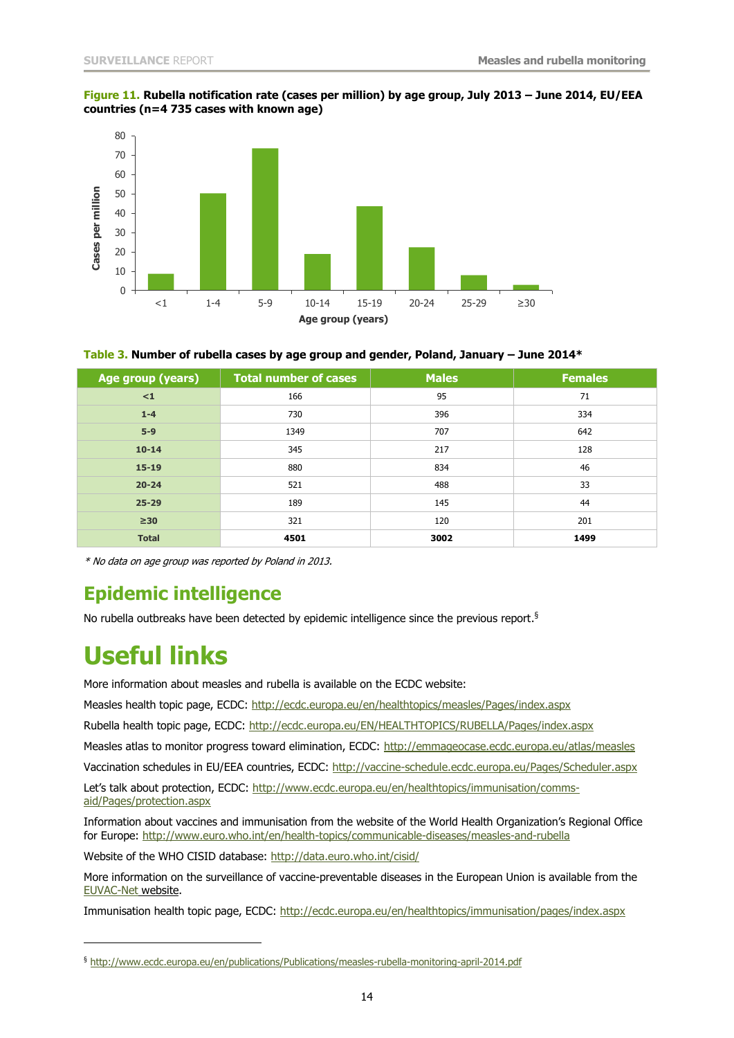#### **Figure 11. Rubella notification rate (cases per million) by age group, July 2013 – June 2014, EU/EEA countries (n=4 735 cases with known age)**



**Table 3. Number of rubella cases by age group and gender, Poland, January – June 2014\*** 

| Age group (years) | <b>Total number of cases</b> | <b>Males</b> | <b>Females</b> |
|-------------------|------------------------------|--------------|----------------|
| $\leq 1$          | 166                          | 95           | 71             |
| $1 - 4$           | 730                          | 396          | 334            |
| $5-9$             | 1349                         | 707          | 642            |
| $10 - 14$         | 345                          | 217          | 128            |
| $15 - 19$         | 880                          | 834          | 46             |
| $20 - 24$         | 521                          | 488          | 33             |
| $25 - 29$         | 189                          | 145          | 44             |
| $\geq 30$         | 321                          | 120          | 201            |
| <b>Total</b>      | 4501                         | 3002         | 1499           |

\* No data on age group was reported by Poland in 2013.

## **Epidemic intelligence**

No rubella outbreaks have been detected by epidemic intelligence since the previous report.<sup>§</sup>

## **Useful links**

j

More information about measles and rubella is available on the ECDC website:

Measles health topic page, ECDC:<http://ecdc.europa.eu/en/healthtopics/measles/Pages/index.aspx>

Rubella health topic page, ECDC:<http://ecdc.europa.eu/EN/HEALTHTOPICS/RUBELLA/Pages/index.aspx>

Measles atlas to monitor progress toward elimination, ECDC:<http://emmageocase.ecdc.europa.eu/atlas/measles>

Vaccination schedules in EU/EEA countries, ECDC:<http://vaccine-schedule.ecdc.europa.eu/Pages/Scheduler.aspx>

Let's talk about protection, ECDC: [http://www.ecdc.europa.eu/en/healthtopics/immunisation/comms](http://www.ecdc.europa.eu/en/healthtopics/immunisation/comms-aid/Pages/protection.aspx)[aid/Pages/protection.aspx](http://www.ecdc.europa.eu/en/healthtopics/immunisation/comms-aid/Pages/protection.aspx)

Information about vaccines and immunisation from the website of the World Health Organization's Regional Office for Europe:<http://www.euro.who.int/en/health-topics/communicable-diseases/measles-and-rubella>

Website of the WHO CISID database:<http://data.euro.who.int/cisid/>

More information on the surveillance of vaccine-preventable diseases in the European Union is available from the [EUVAC-Net](http://ecdc.europa.eu/en/activities/surveillance/euvac/Pages/index.aspx) website.

Immunisation health topic page, ECDC:<http://ecdc.europa.eu/en/healthtopics/immunisation/pages/index.aspx>

<sup>§</sup> <http://www.ecdc.europa.eu/en/publications/Publications/measles-rubella-monitoring-april-2014.pdf>